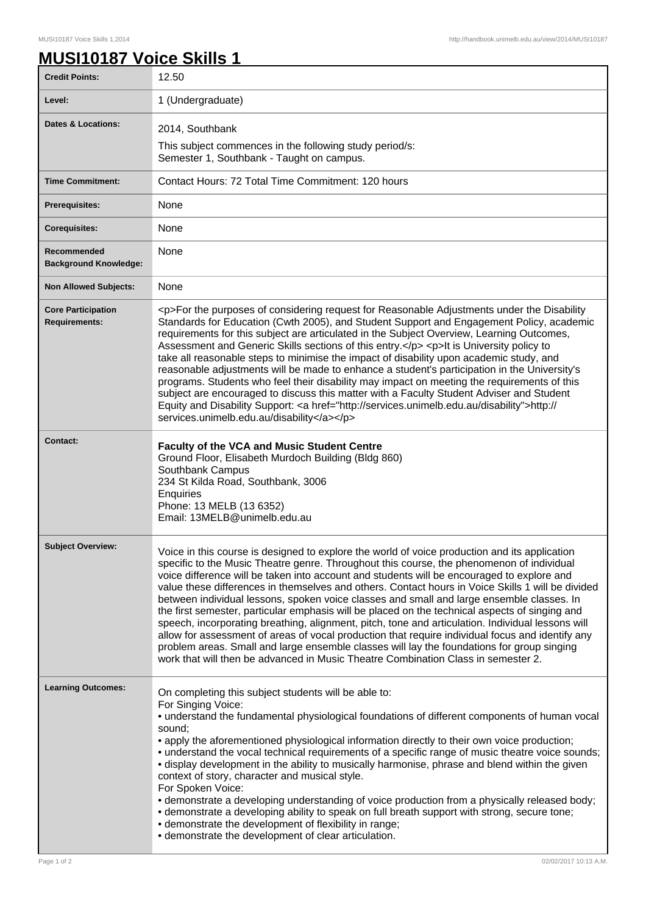## **MUSI10187 Voice Skills 1**

| <b>Credit Points:</b>                             | 12.50                                                                                                                                                                                                                                                                                                                                                                                                                                                                                                                                                                                                                                                                                                                                                                                                                                                                                                                                                                                    |
|---------------------------------------------------|------------------------------------------------------------------------------------------------------------------------------------------------------------------------------------------------------------------------------------------------------------------------------------------------------------------------------------------------------------------------------------------------------------------------------------------------------------------------------------------------------------------------------------------------------------------------------------------------------------------------------------------------------------------------------------------------------------------------------------------------------------------------------------------------------------------------------------------------------------------------------------------------------------------------------------------------------------------------------------------|
| Level:                                            | 1 (Undergraduate)                                                                                                                                                                                                                                                                                                                                                                                                                                                                                                                                                                                                                                                                                                                                                                                                                                                                                                                                                                        |
| <b>Dates &amp; Locations:</b>                     | 2014, Southbank<br>This subject commences in the following study period/s:<br>Semester 1, Southbank - Taught on campus.                                                                                                                                                                                                                                                                                                                                                                                                                                                                                                                                                                                                                                                                                                                                                                                                                                                                  |
| <b>Time Commitment:</b>                           | Contact Hours: 72 Total Time Commitment: 120 hours                                                                                                                                                                                                                                                                                                                                                                                                                                                                                                                                                                                                                                                                                                                                                                                                                                                                                                                                       |
| <b>Prerequisites:</b>                             | None                                                                                                                                                                                                                                                                                                                                                                                                                                                                                                                                                                                                                                                                                                                                                                                                                                                                                                                                                                                     |
| <b>Corequisites:</b>                              | None                                                                                                                                                                                                                                                                                                                                                                                                                                                                                                                                                                                                                                                                                                                                                                                                                                                                                                                                                                                     |
| Recommended<br><b>Background Knowledge:</b>       | None                                                                                                                                                                                                                                                                                                                                                                                                                                                                                                                                                                                                                                                                                                                                                                                                                                                                                                                                                                                     |
| <b>Non Allowed Subjects:</b>                      | None                                                                                                                                                                                                                                                                                                                                                                                                                                                                                                                                                                                                                                                                                                                                                                                                                                                                                                                                                                                     |
| <b>Core Participation</b><br><b>Requirements:</b> | <p>For the purposes of considering request for Reasonable Adjustments under the Disability<br/>Standards for Education (Cwth 2005), and Student Support and Engagement Policy, academic<br/>requirements for this subject are articulated in the Subject Overview, Learning Outcomes,<br/>Assessment and Generic Skills sections of this entry.</p> <p>lt is University policy to<br/>take all reasonable steps to minimise the impact of disability upon academic study, and<br/>reasonable adjustments will be made to enhance a student's participation in the University's<br/>programs. Students who feel their disability may impact on meeting the requirements of this<br/>subject are encouraged to discuss this matter with a Faculty Student Adviser and Student<br/>Equity and Disability Support: &lt; a href="http://services.unimelb.edu.au/disability"&gt;http://<br/>services.unimelb.edu.au/disability</p>                                                             |
| Contact:                                          | Faculty of the VCA and Music Student Centre<br>Ground Floor, Elisabeth Murdoch Building (Bldg 860)<br>Southbank Campus<br>234 St Kilda Road, Southbank, 3006<br>Enquiries<br>Phone: 13 MELB (13 6352)<br>Email: 13MELB@unimelb.edu.au                                                                                                                                                                                                                                                                                                                                                                                                                                                                                                                                                                                                                                                                                                                                                    |
| <b>Subject Overview:</b>                          | Voice in this course is designed to explore the world of voice production and its application<br>specific to the Music Theatre genre. Throughout this course, the phenomenon of individual<br>voice difference will be taken into account and students will be encouraged to explore and<br>value these differences in themselves and others. Contact hours in Voice Skills 1 will be divided<br>between individual lessons, spoken voice classes and small and large ensemble classes. In<br>the first semester, particular emphasis will be placed on the technical aspects of singing and<br>speech, incorporating breathing, alignment, pitch, tone and articulation. Individual lessons will<br>allow for assessment of areas of vocal production that require individual focus and identify any<br>problem areas. Small and large ensemble classes will lay the foundations for group singing<br>work that will then be advanced in Music Theatre Combination Class in semester 2. |
| <b>Learning Outcomes:</b>                         | On completing this subject students will be able to:<br>For Singing Voice:<br>• understand the fundamental physiological foundations of different components of human vocal<br>sound;<br>• apply the aforementioned physiological information directly to their own voice production;<br>• understand the vocal technical requirements of a specific range of music theatre voice sounds;<br>• display development in the ability to musically harmonise, phrase and blend within the given<br>context of story, character and musical style.<br>For Spoken Voice:<br>• demonstrate a developing understanding of voice production from a physically released body;<br>• demonstrate a developing ability to speak on full breath support with strong, secure tone;<br>• demonstrate the development of flexibility in range;<br>• demonstrate the development of clear articulation.                                                                                                    |